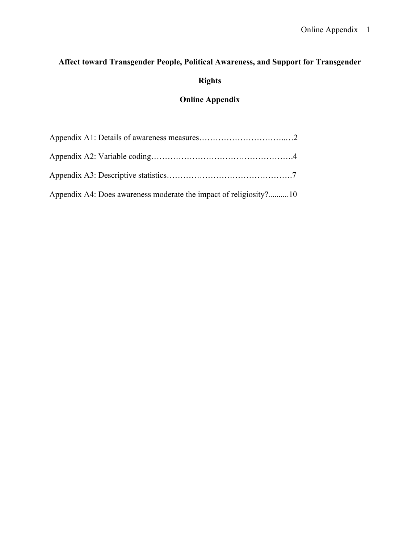# **Affect toward Transgender People, Political Awareness, and Support for Transgender**

# **Rights**

# **Online Appendix**

| Appendix A4: Does awareness moderate the impact of religiosity?10 |  |
|-------------------------------------------------------------------|--|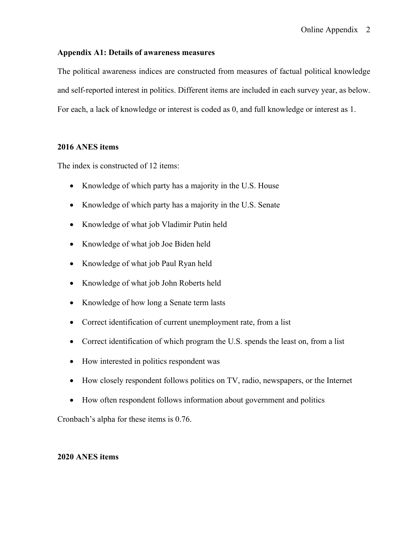#### **Appendix A1: Details of awareness measures**

The political awareness indices are constructed from measures of factual political knowledge and self-reported interest in politics. Different items are included in each survey year, as below. For each, a lack of knowledge or interest is coded as 0, and full knowledge or interest as 1.

#### **2016 ANES items**

The index is constructed of 12 items:

- Knowledge of which party has a majority in the U.S. House
- Knowledge of which party has a majority in the U.S. Senate
- Knowledge of what job Vladimir Putin held
- Knowledge of what job Joe Biden held
- Knowledge of what job Paul Ryan held
- Knowledge of what job John Roberts held
- Knowledge of how long a Senate term lasts
- Correct identification of current unemployment rate, from a list
- Correct identification of which program the U.S. spends the least on, from a list
- How interested in politics respondent was
- How closely respondent follows politics on TV, radio, newspapers, or the Internet
- How often respondent follows information about government and politics

Cronbach's alpha for these items is 0.76.

#### **2020 ANES items**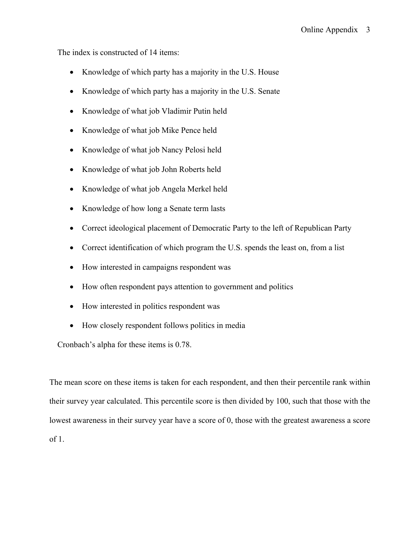The index is constructed of 14 items:

- Knowledge of which party has a majority in the U.S. House
- Knowledge of which party has a majority in the U.S. Senate
- Knowledge of what job Vladimir Putin held
- Knowledge of what job Mike Pence held
- Knowledge of what job Nancy Pelosi held
- Knowledge of what job John Roberts held
- Knowledge of what job Angela Merkel held
- Knowledge of how long a Senate term lasts
- Correct ideological placement of Democratic Party to the left of Republican Party
- Correct identification of which program the U.S. spends the least on, from a list
- How interested in campaigns respondent was
- How often respondent pays attention to government and politics
- How interested in politics respondent was
- How closely respondent follows politics in media

Cronbach's alpha for these items is 0.78.

The mean score on these items is taken for each respondent, and then their percentile rank within their survey year calculated. This percentile score is then divided by 100, such that those with the lowest awareness in their survey year have a score of 0, those with the greatest awareness a score of 1.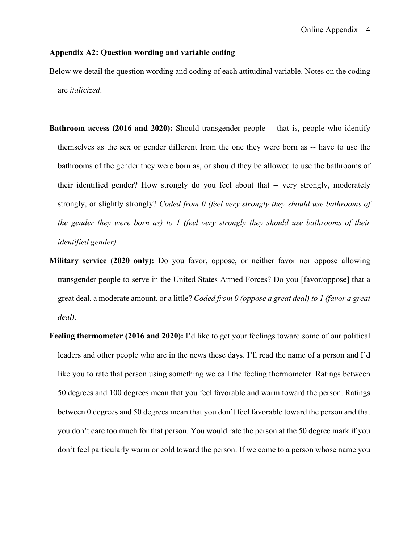### **Appendix A2: Question wording and variable coding**

Below we detail the question wording and coding of each attitudinal variable. Notes on the coding are *italicized*.

- **Bathroom access (2016 and 2020):** Should transgender people -- that is, people who identify themselves as the sex or gender different from the one they were born as -- have to use the bathrooms of the gender they were born as, or should they be allowed to use the bathrooms of their identified gender? How strongly do you feel about that -- very strongly, moderately strongly, or slightly strongly? *Coded from 0 (feel very strongly they should use bathrooms of the gender they were born as) to 1 (feel very strongly they should use bathrooms of their identified gender).*
- **Military service (2020 only):** Do you favor, oppose, or neither favor nor oppose allowing transgender people to serve in the United States Armed Forces? Do you [favor/oppose] that a great deal, a moderate amount, or a little? *Coded from 0 (oppose a great deal) to 1 (favor a great deal).*
- **Feeling thermometer (2016 and 2020):** I'd like to get your feelings toward some of our political leaders and other people who are in the news these days. I'll read the name of a person and I'd like you to rate that person using something we call the feeling thermometer. Ratings between 50 degrees and 100 degrees mean that you feel favorable and warm toward the person. Ratings between 0 degrees and 50 degrees mean that you don't feel favorable toward the person and that you don't care too much for that person. You would rate the person at the 50 degree mark if you don't feel particularly warm or cold toward the person. If we come to a person whose name you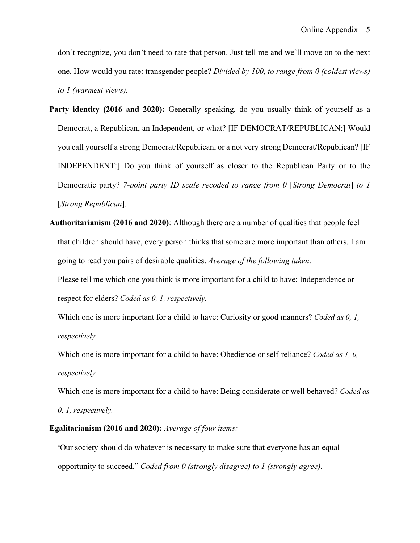don't recognize, you don't need to rate that person. Just tell me and we'll move on to the next one. How would you rate: transgender people? *Divided by 100, to range from 0 (coldest views) to 1 (warmest views).*

- Party identity (2016 and 2020): Generally speaking, do you usually think of yourself as a Democrat, a Republican, an Independent, or what? [IF DEMOCRAT/REPUBLICAN:] Would you call yourself a strong Democrat/Republican, or a not very strong Democrat/Republican? [IF INDEPENDENT:] Do you think of yourself as closer to the Republican Party or to the Democratic party? *7-point party ID scale recoded to range from 0* [*Strong Democrat*] *to 1*  [*Strong Republican*]*.*
- **Authoritarianism (2016 and 2020)**: Although there are a number of qualities that people feel that children should have, every person thinks that some are more important than others. I am going to read you pairs of desirable qualities. *Average of the following taken:*

Please tell me which one you think is more important for a child to have: Independence or respect for elders? *Coded as 0, 1, respectively.*

Which one is more important for a child to have: Curiosity or good manners? *Coded as 0, 1, respectively.*

Which one is more important for a child to have: Obedience or self-reliance? *Coded as 1, 0, respectively.*

Which one is more important for a child to have: Being considerate or well behaved? *Coded as* 

*0, 1, respectively.*

#### **Egalitarianism (2016 and 2020):** *Average of four items:*

"Our society should do whatever is necessary to make sure that everyone has an equal opportunity to succeed." *Coded from 0 (strongly disagree) to 1 (strongly agree).*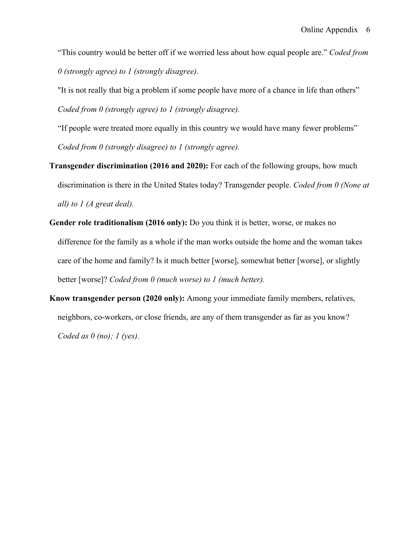"This country would be better off if we worried less about how equal people are." *Coded from 0 (strongly agree) to 1 (strongly disagree).*

"It is not really that big a problem if some people have more of a chance in life than others" *Coded from 0 (strongly agree) to 1 (strongly disagree).*

"If people were treated more equally in this country we would have many fewer problems" *Coded from 0 (strongly disagree) to 1 (strongly agree).*

- **Transgender discrimination (2016 and 2020):** For each of the following groups, how much discrimination is there in the United States today? Transgender people. *Coded from 0 (None at all) to 1 (A great deal).*
- **Gender role traditionalism (2016 only):** Do you think it is better, worse, or makes no difference for the family as a whole if the man works outside the home and the woman takes care of the home and family? Is it much better [worse], somewhat better [worse], or slightly better [worse]? *Coded from 0 (much worse) to 1 (much better).*
- **Know transgender person (2020 only):** Among your immediate family members, relatives, neighbors, co-workers, or close friends, are any of them transgender as far as you know? *Coded as 0 (no); 1 (yes).*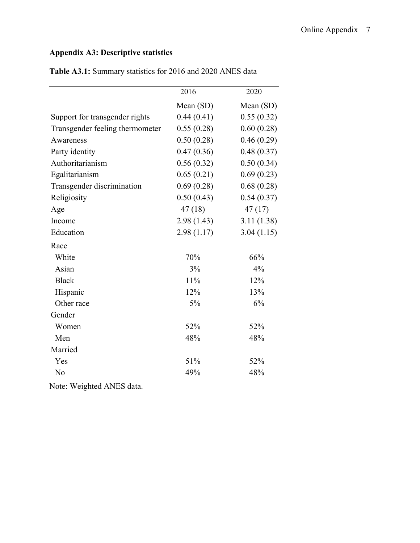## **Appendix A3: Descriptive statistics**

|                                 | 2016       | 2020       |
|---------------------------------|------------|------------|
|                                 | Mean (SD)  | Mean (SD)  |
| Support for transgender rights  | 0.44(0.41) | 0.55(0.32) |
| Transgender feeling thermometer | 0.55(0.28) | 0.60(0.28) |
| Awareness                       | 0.50(0.28) | 0.46(0.29) |
| Party identity                  | 0.47(0.36) | 0.48(0.37) |
| Authoritarianism                | 0.56(0.32) | 0.50(0.34) |
| Egalitarianism                  | 0.65(0.21) | 0.69(0.23) |
| Transgender discrimination      | 0.69(0.28) | 0.68(0.28) |
| Religiosity                     | 0.50(0.43) | 0.54(0.37) |
| Age                             | 47(18)     | 47(17)     |
| Income                          | 2.98(1.43) | 3.11(1.38) |
| Education                       | 2.98(1.17) | 3.04(1.15) |
| Race                            |            |            |
| White                           | 70%        | 66%        |
| Asian                           | 3%         | 4%         |
| <b>Black</b>                    | 11%        | 12%        |
| Hispanic                        | 12%        | 13%        |
| Other race                      | 5%         | 6%         |
| Gender                          |            |            |
| Women                           | 52%        | 52%        |
| Men                             | 48%        | 48%        |
| Married                         |            |            |
| Yes                             | 51%        | 52%        |
| No                              | 49%        | 48%        |

**Table A3.1:** Summary statistics for 2016 and 2020 ANES data

Note: Weighted ANES data.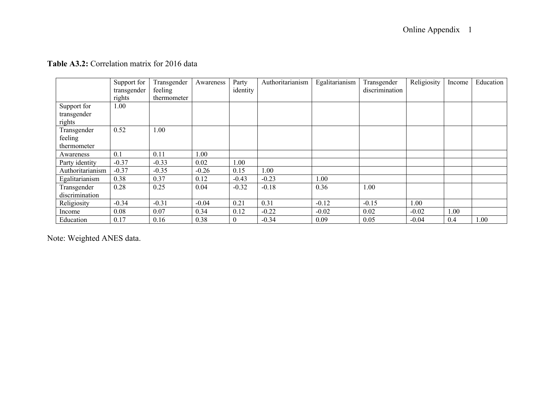|                  | Support for | Transgender | Awareness | Party          | Authoritarianism | Egalitarianism | Transgender    | Religiosity | Income | Education |
|------------------|-------------|-------------|-----------|----------------|------------------|----------------|----------------|-------------|--------|-----------|
|                  | transgender | feeling     |           | identity       |                  |                | discrimination |             |        |           |
|                  | rights      | thermometer |           |                |                  |                |                |             |        |           |
| Support for      | 1.00        |             |           |                |                  |                |                |             |        |           |
| transgender      |             |             |           |                |                  |                |                |             |        |           |
| rights           |             |             |           |                |                  |                |                |             |        |           |
| Transgender      | 0.52        | 1.00        |           |                |                  |                |                |             |        |           |
| feeling          |             |             |           |                |                  |                |                |             |        |           |
| thermometer      |             |             |           |                |                  |                |                |             |        |           |
| Awareness        | 0.1         | 0.11        | 1.00      |                |                  |                |                |             |        |           |
| Party identity   | $-0.37$     | $-0.33$     | 0.02      | 1.00           |                  |                |                |             |        |           |
| Authoritarianism | $-0.37$     | $-0.35$     | $-0.26$   | 0.15           | 1.00             |                |                |             |        |           |
| Egalitarianism   | 0.38        | 0.37        | 0.12      | $-0.43$        | $-0.23$          | 1.00           |                |             |        |           |
| Transgender      | 0.28        | 0.25        | 0.04      | $-0.32$        | $-0.18$          | 0.36           | 1.00           |             |        |           |
| discrimination   |             |             |           |                |                  |                |                |             |        |           |
| Religiosity      | $-0.34$     | $-0.31$     | $-0.04$   | 0.21           | 0.31             | $-0.12$        | $-0.15$        | 1.00        |        |           |
| Income           | 0.08        | 0.07        | 0.34      | 0.12           | $-0.22$          | $-0.02$        | 0.02           | $-0.02$     | 1.00   |           |
| Education        | 0.17        | 0.16        | 0.38      | $\overline{0}$ | $-0.34$          | 0.09           | 0.05           | $-0.04$     | 0.4    | 1.00      |

### **Table A3.2:** Correlation matrix for 2016 data

Note: Weighted ANES data.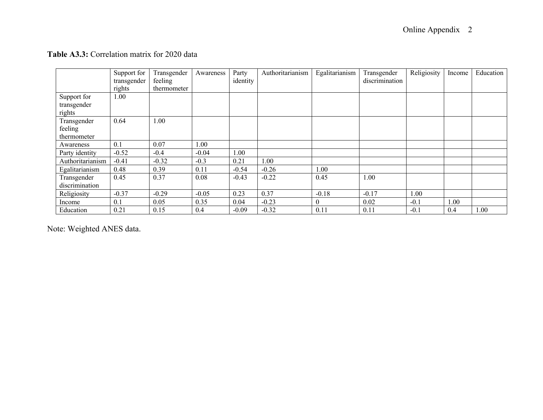|                  | Support for | Transgender | Awareness | Party    | Authoritarianism | Egalitarianism | Transgender    | Religiosity | Income | Education |
|------------------|-------------|-------------|-----------|----------|------------------|----------------|----------------|-------------|--------|-----------|
|                  | transgender | feeling     |           | identity |                  |                | discrimination |             |        |           |
|                  | rights      | thermometer |           |          |                  |                |                |             |        |           |
| Support for      | 1.00        |             |           |          |                  |                |                |             |        |           |
| transgender      |             |             |           |          |                  |                |                |             |        |           |
| rights           |             |             |           |          |                  |                |                |             |        |           |
| Transgender      | 0.64        | 1.00        |           |          |                  |                |                |             |        |           |
| feeling          |             |             |           |          |                  |                |                |             |        |           |
| thermometer      |             |             |           |          |                  |                |                |             |        |           |
| Awareness        | 0.1         | 0.07        | 1.00      |          |                  |                |                |             |        |           |
| Party identity   | $-0.52$     | $-0.4$      | $-0.04$   | 1.00     |                  |                |                |             |        |           |
| Authoritarianism | $-0.41$     | $-0.32$     | $-0.3$    | 0.21     | $1.00\,$         |                |                |             |        |           |
| Egalitarianism   | 0.48        | 0.39        | 0.11      | $-0.54$  | $-0.26$          | 1.00           |                |             |        |           |
| Transgender      | 0.45        | 0.37        | 0.08      | $-0.43$  | $-0.22$          | 0.45           | 1.00           |             |        |           |
| discrimination   |             |             |           |          |                  |                |                |             |        |           |
| Religiosity      | $-0.37$     | $-0.29$     | $-0.05$   | 0.23     | 0.37             | $-0.18$        | $-0.17$        | 1.00        |        |           |
| Income           | 0.1         | 0.05        | 0.35      | 0.04     | $-0.23$          | 0              | 0.02           | $-0.1$      | 1.00   |           |
| Education        | 0.21        | 0.15        | 0.4       | $-0.09$  | $-0.32$          | 0.11           | 0.11           | $-0.1$      | 0.4    | 1.00      |

### **Table A3.3:** Correlation matrix for 2020 data

Note: Weighted ANES data.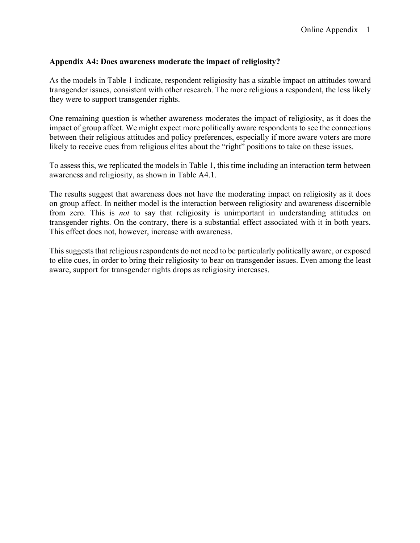### **Appendix A4: Does awareness moderate the impact of religiosity?**

As the models in Table 1 indicate, respondent religiosity has a sizable impact on attitudes toward transgender issues, consistent with other research. The more religious a respondent, the less likely they were to support transgender rights.

One remaining question is whether awareness moderates the impact of religiosity, as it does the impact of group affect. We might expect more politically aware respondents to see the connections between their religious attitudes and policy preferences, especially if more aware voters are more likely to receive cues from religious elites about the "right" positions to take on these issues.

To assess this, we replicated the models in Table 1, this time including an interaction term between awareness and religiosity, as shown in Table A4.1.

The results suggest that awareness does not have the moderating impact on religiosity as it does on group affect. In neither model is the interaction between religiosity and awareness discernible from zero. This is *not* to say that religiosity is unimportant in understanding attitudes on transgender rights. On the contrary, there is a substantial effect associated with it in both years. This effect does not, however, increase with awareness.

This suggests that religious respondents do not need to be particularly politically aware, or exposed to elite cues, in order to bring their religiosity to bear on transgender issues. Even among the least aware, support for transgender rights drops as religiosity increases.